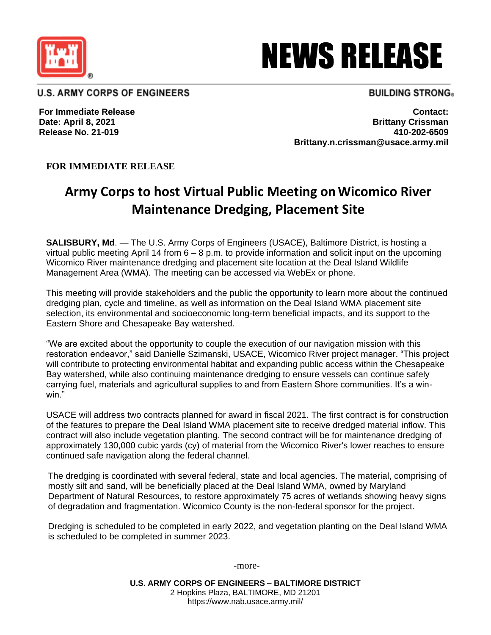

# NEWS RELEASE

**U.S. ARMY CORPS OF ENGINEERS** 

## **BUILDING STRONG**®

**For Immediate Release Date: April 8, 2021 Release No. 21-019**

**Contact: Brittany Crissman 410-202-6509 Brittany.n.crissman@usace.army.mil**

## **FOR IMMEDIATE RELEASE**

# **Army Corps to host Virtual Public Meeting onWicomico River Maintenance Dredging, Placement Site**

**SALISBURY, Md**. — The U.S. Army Corps of Engineers (USACE), Baltimore District, is hosting a virtual public meeting April 14 from  $6 - 8$  p.m. to provide information and solicit input on the upcoming Wicomico River maintenance dredging and placement site location at the Deal Island Wildlife Management Area (WMA). The meeting can be accessed via WebEx or phone.

This meeting will provide stakeholders and the public the opportunity to learn more about the continued dredging plan, cycle and timeline, as well as information on the Deal Island WMA placement site selection, its environmental and socioeconomic long-term beneficial impacts, and its support to the Eastern Shore and Chesapeake Bay watershed.

"We are excited about the opportunity to couple the execution of our navigation mission with this restoration endeavor," said Danielle Szimanski, USACE, Wicomico River project manager. "This project will contribute to protecting environmental habitat and expanding public access within the Chesapeake Bay watershed, while also continuing maintenance dredging to ensure vessels can continue safely carrying fuel, materials and agricultural supplies to and from Eastern Shore communities. It's a winwin."

USACE will address two contracts planned for award in fiscal 2021. The first contract is for construction of the features to prepare the Deal Island WMA placement site to receive dredged material inflow. This contract will also include vegetation planting. The second contract will be for maintenance dredging of approximately 130,000 cubic yards (cy) of material from the Wicomico River's lower reaches to ensure continued safe navigation along the federal channel.

The dredging is coordinated with several federal, state and local agencies. The material, comprising of mostly silt and sand, will be beneficially placed at the Deal Island WMA, owned by Maryland Department of Natural Resources, to restore approximately 75 acres of wetlands showing heavy signs of degradation and fragmentation. Wicomico County is the non-federal sponsor for the project.

Dredging is scheduled to be completed in early 2022, and vegetation planting on the Deal Island WMA is scheduled to be completed in summer 2023.

-more-

**U.S. ARMY CORPS OF ENGINEERS – BALTIMORE DISTRICT** 2 Hopkins Plaza, BALTIMORE, MD 21201 https://www.nab.usace.army.mil/